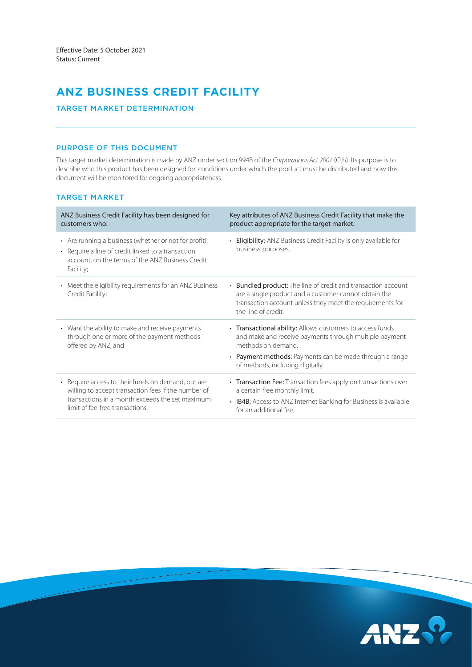# **ANZ BUSINESS CREDIT FACILITY**

# TARGET MARKET DETERMINATION

### PURPOSE OF THIS DOCUMENT

This target market determination is made by ANZ under section 994B of the *Corporations Act 2001* (Cth). Its purpose is to describe who this product has been designed for, conditions under which the product must be distributed and how this document will be monitored for ongoing appropriateness.

# TARGET MARKET

| ANZ Business Credit Facility has been designed for<br>customers who:                                                                                                                            | Key attributes of ANZ Business Credit Facility that make the<br>product appropriate for the target market:                                                                                                                               |
|-------------------------------------------------------------------------------------------------------------------------------------------------------------------------------------------------|------------------------------------------------------------------------------------------------------------------------------------------------------------------------------------------------------------------------------------------|
| • Are running a business (whether or not for profit);<br>• Require a line of credit linked to a transaction<br>account, on the terms of the ANZ Business Credit<br>Facility;                    | • Eligibility: ANZ Business Credit Facility is only available for<br>business purposes.                                                                                                                                                  |
| • Meet the eligibility requirements for an ANZ Business<br>Credit Facility;                                                                                                                     | • Bundled product: The line of credit and transaction account<br>are a single product and a customer cannot obtain the<br>transaction account unless they meet the requirements for<br>the line of credit.                               |
| • Want the ability to make and receive payments<br>through one or more of the payment methods<br>offered by ANZ; and                                                                            | • Transactional ability: Allows customers to access funds<br>and make and receive payments through multiple payment<br>methods on demand.<br>• Payment methods: Payments can be made through a range<br>of methods, including digitally. |
| • Require access to their funds on demand, but are<br>willing to accept transaction fees if the number of<br>transactions in a month exceeds the set maximum<br>limit of fee-free transactions. | • Transaction Fee: Transaction fees apply on transactions over<br>a certain free monthly limit.<br>• IB4B: Access to ANZ Internet Banking for Business is available<br>for an additional fee.                                            |

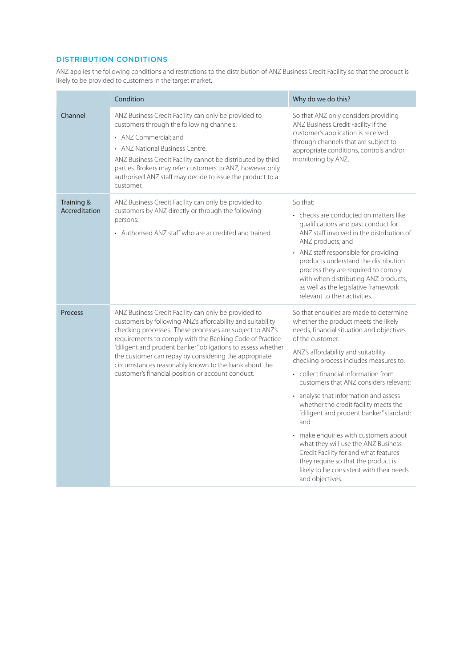# DISTRIBUTION CONDITIONS

ANZ applies the following conditions and restrictions to the distribution of ANZ Business Credit Facility so that the product is likely to be provided to customers in the target market.

|                             | Condition                                                                                                                                                                                                                                                                                                                                                                                                                                                                       | Why do we do this?                                                                                                                                                                                                                                                                                                                                                                                                                                                                                                                                                                                                                                                                     |  |
|-----------------------------|---------------------------------------------------------------------------------------------------------------------------------------------------------------------------------------------------------------------------------------------------------------------------------------------------------------------------------------------------------------------------------------------------------------------------------------------------------------------------------|----------------------------------------------------------------------------------------------------------------------------------------------------------------------------------------------------------------------------------------------------------------------------------------------------------------------------------------------------------------------------------------------------------------------------------------------------------------------------------------------------------------------------------------------------------------------------------------------------------------------------------------------------------------------------------------|--|
| Channel                     | ANZ Business Credit Facility can only be provided to<br>customers through the following channels:<br>• ANZ Commercial; and<br>• ANZ National Business Centre.<br>ANZ Business Credit Facility cannot be distributed by third<br>parties. Brokers may refer customers to ANZ, however only<br>authorised ANZ staff may decide to issue the product to a<br>customer.                                                                                                             | So that ANZ only considers providing<br>ANZ Business Credit Facility if the<br>customer's application is received<br>through channels that are subject to<br>appropriate conditions, controls and/or<br>monitoring by ANZ.                                                                                                                                                                                                                                                                                                                                                                                                                                                             |  |
| Training &<br>Accreditation | ANZ Business Credit Facility can only be provided to<br>customers by ANZ directly or through the following<br>persons:<br>• Authorised ANZ staff who are accredited and trained.                                                                                                                                                                                                                                                                                                | So that:<br>• checks are conducted on matters like<br>qualifications and past conduct for<br>ANZ staff involved in the distribution of<br>ANZ products; and<br>• ANZ staff responsible for providing<br>products understand the distribution<br>process they are required to comply<br>with when distributing ANZ products,<br>as well as the legislative framework<br>relevant to their activities.                                                                                                                                                                                                                                                                                   |  |
| Process                     | ANZ Business Credit Facility can only be provided to<br>customers by following ANZ's affordability and suitability<br>checking processes. These processes are subject to ANZ's<br>requirements to comply with the Banking Code of Practice<br>"diligent and prudent banker" obligations to assess whether<br>the customer can repay by considering the appropriate<br>circumstances reasonably known to the bank about the<br>customer's financial position or account conduct. | So that enquiries are made to determine<br>whether the product meets the likely<br>needs, financial situation and objectives<br>of the customer.<br>ANZ's affordability and suitability<br>checking process includes measures to:<br>• collect financial information from<br>customers that ANZ considers relevant;<br>• analyse that information and assess<br>whether the credit facility meets the<br>"diligent and prudent banker" standard;<br>and<br>• make enquiries with customers about<br>what they will use the ANZ Business<br>Credit Facility for and what features<br>they require so that the product is<br>likely to be consistent with their needs<br>and objectives. |  |